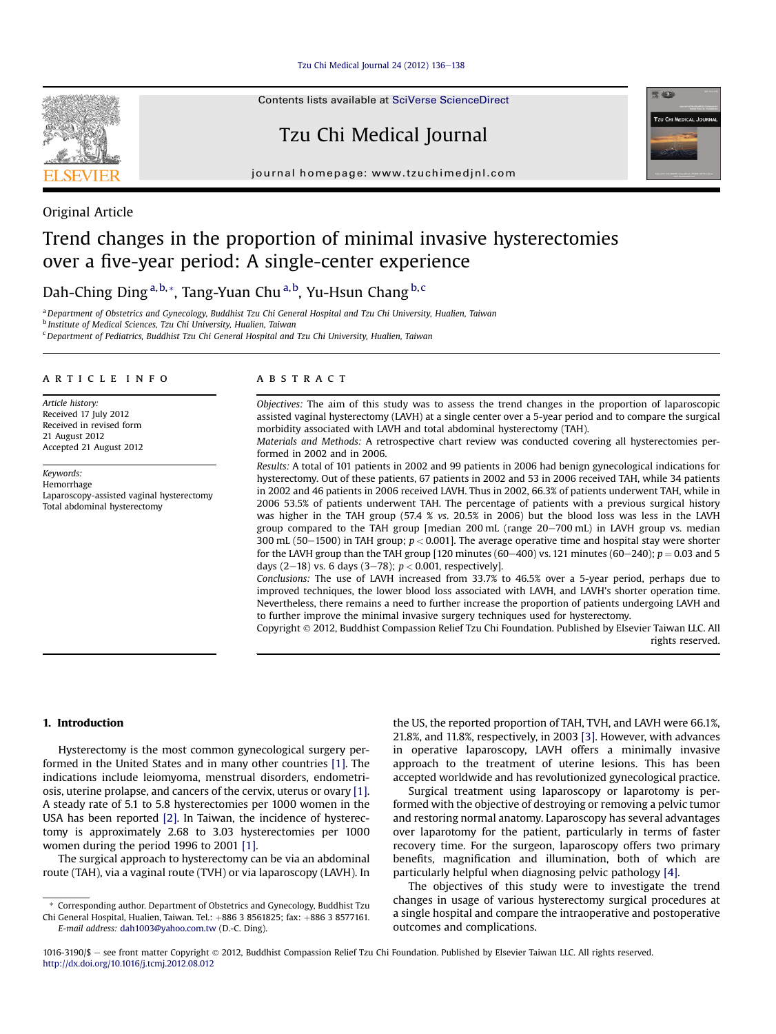[Tzu Chi Medical Journal 24 \(2012\) 136](http://dx.doi.org/10.1016/j.tcmj.2012.08.012)-[138](http://dx.doi.org/10.1016/j.tcmj.2012.08.012)

Contents lists available at [SciVerse ScienceDirect](www.sciencedirect.com/science/journal/10163190)

Tzu Chi Medical Journal







# Original Article

# Trend changes in the proportion of minimal invasive hysterectomies over a five-year period: A single-center experience

Dah-Ching Ding<sup>a,b,</sup>\*, Tang-Yuan Chu<sup>a,b</sup>, Yu-Hsun Chang<sup>b,c</sup>

a Department of Obstetrics and Gynecology, Buddhist Tzu Chi General Hospital and Tzu Chi University, Hualien, Taiwan

<sup>b</sup> Institute of Medical Sciences, Tzu Chi University, Hualien, Taiwan

<sup>c</sup> Department of Pediatrics, Buddhist Tzu Chi General Hospital and Tzu Chi University, Hualien, Taiwan

#### article info

Article history: Received 17 July 2012 Received in revised form 21 August 2012 Accepted 21 August 2012

Keywords: Hemorrhage Laparoscopy-assisted vaginal hysterectomy Total abdominal hysterectomy

#### **ABSTRACT**

Objectives: The aim of this study was to assess the trend changes in the proportion of laparoscopic assisted vaginal hysterectomy (LAVH) at a single center over a 5-year period and to compare the surgical morbidity associated with LAVH and total abdominal hysterectomy (TAH).

Materials and Methods: A retrospective chart review was conducted covering all hysterectomies performed in 2002 and in 2006.

Results: A total of 101 patients in 2002 and 99 patients in 2006 had benign gynecological indications for hysterectomy. Out of these patients, 67 patients in 2002 and 53 in 2006 received TAH, while 34 patients in 2002 and 46 patients in 2006 received LAVH. Thus in 2002, 66.3% of patients underwent TAH, while in 2006 53.5% of patients underwent TAH. The percentage of patients with a previous surgical history was higher in the TAH group (57.4 % vs. 20.5% in 2006) but the blood loss was less in the LAVH group compared to the TAH group [median 200 mL (range 20-700 mL) in LAVH group vs. median 300 mL (50–1500) in TAH group;  $p < 0.001$ ]. The average operative time and hospital stay were shorter for the LAVH group than the TAH group [120 minutes (60–400) vs. 121 minutes (60–240);  $p = 0.03$  and 5 days (2-18) vs. 6 days (3-78);  $p < 0.001$ , respectively].

Conclusions: The use of LAVH increased from 33.7% to 46.5% over a 5-year period, perhaps due to improved techniques, the lower blood loss associated with LAVH, and LAVH's shorter operation time. Nevertheless, there remains a need to further increase the proportion of patients undergoing LAVH and to further improve the minimal invasive surgery techniques used for hysterectomy.

Copyright 2012, Buddhist Compassion Relief Tzu Chi Foundation. Published by Elsevier Taiwan LLC. All rights reserved.

#### 1. Introduction

Hysterectomy is the most common gynecological surgery performed in the United States and in many other countries [\[1\]](#page-2-0). The indications include leiomyoma, menstrual disorders, endometriosis, uterine prolapse, and cancers of the cervix, uterus or ovary [\[1\].](#page-2-0) A steady rate of 5.1 to 5.8 hysterectomies per 1000 women in the USA has been reported [\[2\].](#page-2-0) In Taiwan, the incidence of hysterectomy is approximately 2.68 to 3.03 hysterectomies per 1000 women during the period 1996 to 2001 [\[1\]](#page-2-0).

The surgical approach to hysterectomy can be via an abdominal route (TAH), via a vaginal route (TVH) or via laparoscopy (LAVH). In

E-mail address: [dah1003@yahoo.com.tw](mailto:dah1003@yahoo.com.tw) (D.-C. Ding).

the US, the reported proportion of TAH, TVH, and LAVH were 66.1%, 21.8%, and 11.8%, respectively, in 2003 [\[3\].](#page-2-0) However, with advances in operative laparoscopy, LAVH offers a minimally invasive approach to the treatment of uterine lesions. This has been accepted worldwide and has revolutionized gynecological practice.

Surgical treatment using laparoscopy or laparotomy is performed with the objective of destroying or removing a pelvic tumor and restoring normal anatomy. Laparoscopy has several advantages over laparotomy for the patient, particularly in terms of faster recovery time. For the surgeon, laparoscopy offers two primary benefits, magnification and illumination, both of which are particularly helpful when diagnosing pelvic pathology [\[4\]](#page-2-0).

The objectives of this study were to investigate the trend changes in usage of various hysterectomy surgical procedures at a single hospital and compare the intraoperative and postoperative outcomes and complications.

<sup>\*</sup> Corresponding author. Department of Obstetrics and Gynecology, Buddhist Tzu Chi General Hospital, Hualien, Taiwan. Tel.: +886 3 8561825; fax: +886 3 8577161.

<sup>1016-3190/\$ -</sup> see front matter Copyright © 2012, Buddhist Compassion Relief Tzu Chi Foundation. Published by Elsevier Taiwan LLC. All rights reserved. <http://dx.doi.org/10.1016/j.tcmj.2012.08.012>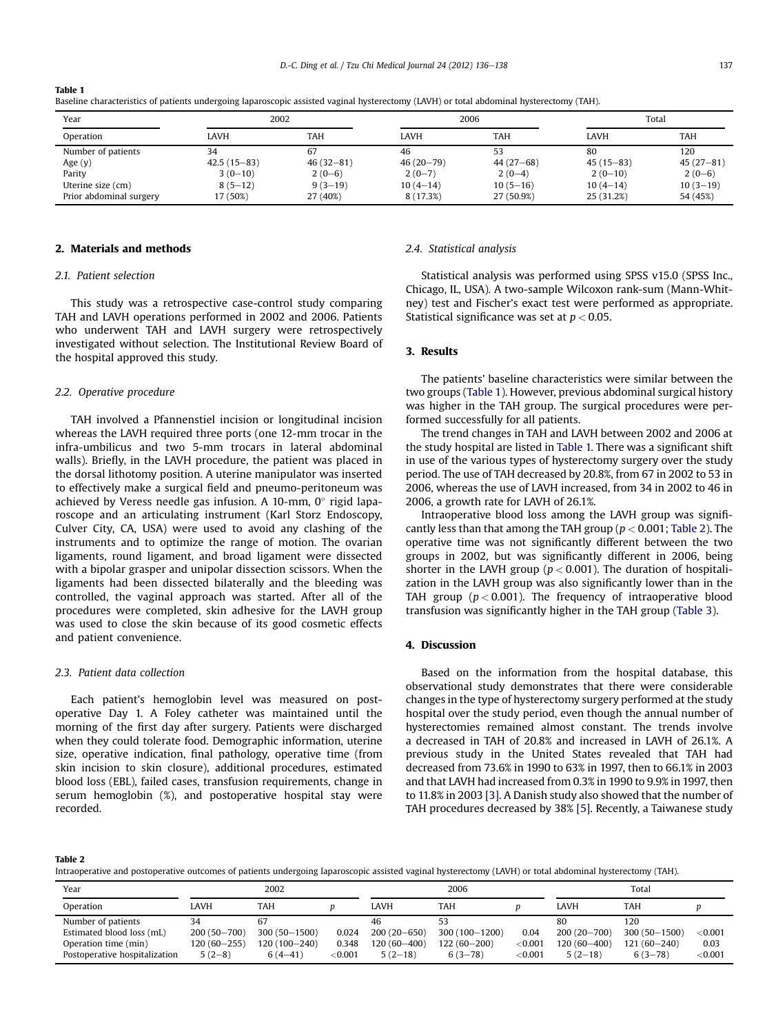| Year                    | 2002          |               | 2006          |             | Total       |             |  |  |  |
|-------------------------|---------------|---------------|---------------|-------------|-------------|-------------|--|--|--|
| Operation               | LAVH          | TAH           | <b>LAVH</b>   | <b>TAH</b>  | LAVH        | <b>TAH</b>  |  |  |  |
| Number of patients      | 34            | 67            | 46            | 53          | 80          | 120         |  |  |  |
| Age $(y)$               | $42.5(15-83)$ | $46(32 - 81)$ | $46(20 - 79)$ | $44(27-68)$ | $45(15-83)$ | $45(27-81)$ |  |  |  |
| Parity                  | $3(0-10)$     | $2(0-6)$      | $2(0-7)$      | $2(0-4)$    | $2(0-10)$   | $2(0-6)$    |  |  |  |
| Uterine size (cm)       | $8(5-12)$     | $9(3-19)$     | $10(4-14)$    | $10(5-16)$  | $10(4-14)$  | $10(3-19)$  |  |  |  |
| Prior abdominal surgery | 17 (50%)      | 27 (40%)      | 8 (17.3%)     | 27 (50.9%)  | 25 (31.2%)  | 54 (45%)    |  |  |  |

Table 1

Baseline characteristics of patients undergoing laparoscopic assisted vaginal hysterectomy (LAVH) or total abdominal hysterectomy (TAH).

## 2. Materials and methods

#### 2.1. Patient selection

This study was a retrospective case-control study comparing TAH and LAVH operations performed in 2002 and 2006. Patients who underwent TAH and LAVH surgery were retrospectively investigated without selection. The Institutional Review Board of the hospital approved this study.

#### 2.2. Operative procedure

TAH involved a Pfannenstiel incision or longitudinal incision whereas the LAVH required three ports (one 12-mm trocar in the infra-umbilicus and two 5-mm trocars in lateral abdominal walls). Briefly, in the LAVH procedure, the patient was placed in the dorsal lithotomy position. A uterine manipulator was inserted to effectively make a surgical field and pneumo-peritoneum was achieved by Veress needle gas infusion. A 10-mm, 0 $^{\circ}$  rigid laparoscope and an articulating instrument (Karl Storz Endoscopy, Culver City, CA, USA) were used to avoid any clashing of the instruments and to optimize the range of motion. The ovarian ligaments, round ligament, and broad ligament were dissected with a bipolar grasper and unipolar dissection scissors. When the ligaments had been dissected bilaterally and the bleeding was controlled, the vaginal approach was started. After all of the procedures were completed, skin adhesive for the LAVH group was used to close the skin because of its good cosmetic effects and patient convenience.

#### 2.3. Patient data collection

Each patient's hemoglobin level was measured on postoperative Day 1. A Foley catheter was maintained until the morning of the first day after surgery. Patients were discharged when they could tolerate food. Demographic information, uterine size, operative indication, final pathology, operative time (from skin incision to skin closure), additional procedures, estimated blood loss (EBL), failed cases, transfusion requirements, change in serum hemoglobin (%), and postoperative hospital stay were recorded.

#### 2.4. Statistical analysis

Statistical analysis was performed using SPSS v15.0 (SPSS Inc., Chicago, IL, USA). A two-sample Wilcoxon rank-sum (Mann-Whitney) test and Fischer's exact test were performed as appropriate. Statistical significance was set at  $p < 0.05$ .

### 3. Results

The patients' baseline characteristics were similar between the two groups (Table 1). However, previous abdominal surgical history was higher in the TAH group. The surgical procedures were performed successfully for all patients.

The trend changes in TAH and LAVH between 2002 and 2006 at the study hospital are listed in Table 1. There was a significant shift in use of the various types of hysterectomy surgery over the study period. The use of TAH decreased by 20.8%, from 67 in 2002 to 53 in 2006, whereas the use of LAVH increased, from 34 in 2002 to 46 in 2006, a growth rate for LAVH of 26.1%.

Intraoperative blood loss among the LAVH group was significantly less than that among the TAH group ( $p < 0.001$ ; Table 2). The operative time was not significantly different between the two groups in 2002, but was significantly different in 2006, being shorter in the LAVH group ( $p < 0.001$ ). The duration of hospitalization in the LAVH group was also significantly lower than in the TAH group ( $p < 0.001$ ). The frequency of intraoperative blood transfusion was significantly higher in the TAH group ([Table 3\)](#page-2-0).

#### 4. Discussion

Based on the information from the hospital database, this observational study demonstrates that there were considerable changes in the type of hysterectomy surgery performed at the study hospital over the study period, even though the annual number of hysterectomies remained almost constant. The trends involve a decreased in TAH of 20.8% and increased in LAVH of 26.1%. A previous study in the United States revealed that TAH had decreased from 73.6% in 1990 to 63% in 1997, then to 66.1% in 2003 and that LAVH had increased from 0.3% in 1990 to 9.9% in 1997, then to 11.8% in 2003 [\[3\]](#page-2-0). A Danish study also showed that the number of TAH procedures decreased by 38% [\[5\]](#page-2-0). Recently, a Taiwanese study

Table 2

Intraoperative and postoperative outcomes of patients undergoing laparoscopic assisted vaginal hysterectomy (LAVH) or total abdominal hysterectomy (TAH).

| Year                          | 2002            |                  | 2006           |                 |                   | Total      |                 |                  |            |
|-------------------------------|-----------------|------------------|----------------|-----------------|-------------------|------------|-----------------|------------------|------------|
| Operation                     | LAVH            | TAH              |                | LAVH            | TAH               |            | LAVH            | TAH              |            |
| Number of patients            | 34              | 67               |                | 46              |                   |            | 80              | 120              |            |
| Estimated blood loss (mL)     | $200(50 - 700)$ | $300(50 - 1500)$ | 0.024          | $200(20 - 650)$ | $300(100 - 1200)$ | 0.04       | $200(20 - 700)$ | $300(50 - 1500)$ | ${<}0.001$ |
| Operation time (min)          | $120(60 - 255)$ | 120 (100-240)    | 0.348          | $120(60 - 400)$ | 122 (60-200)      | ${<}0.001$ | 120 (60-400)    | $121(60 - 240)$  | 0.03       |
| Postoperative hospitalization | $5(2-8)$        | $6(4-41)$        | $<$ 0.001 $\,$ | $5(2-18)$       | $6(3-78)$         | < 0.001    | $5(2-18)$       | $6(3-78)$        | ${<}0.001$ |